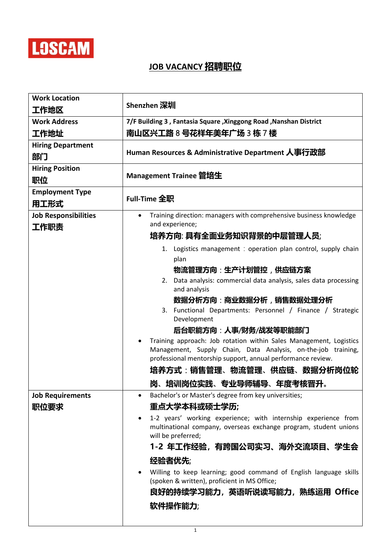

## **JOB VACANCY** 招聘职位

| <b>Work Location</b>           |                                                                                                                                                                                                    |
|--------------------------------|----------------------------------------------------------------------------------------------------------------------------------------------------------------------------------------------------|
| 工作地区                           | Shenzhen 深圳                                                                                                                                                                                        |
| <b>Work Address</b>            | 7/F Building 3, Fantasia Square, Xinggong Road, Nanshan District                                                                                                                                   |
| 工作地址                           | 南山区兴工路 8 <del>号</del> 花样年美年广场 3 栋 7 楼                                                                                                                                                              |
| <b>Hiring Department</b>       | Human Resources & Administrative Department 人事行政部                                                                                                                                                  |
| 部门                             |                                                                                                                                                                                                    |
| <b>Hiring Position</b>         | Management Trainee 管培生                                                                                                                                                                             |
| 职位                             |                                                                                                                                                                                                    |
| <b>Employment Type</b><br>用工形式 | <b>Full-Time 全职</b>                                                                                                                                                                                |
| <b>Job Responsibilities</b>    | Training direction: managers with comprehensive business knowledge                                                                                                                                 |
| 工作职责                           | and experience;                                                                                                                                                                                    |
|                                | 培养方向:具有全面业务知识背景的中层管理人员;                                                                                                                                                                            |
|                                | 1. Logistics management : operation plan control, supply chain<br>plan                                                                                                                             |
|                                | 物流管理方向:生产计划管控,供应链方案                                                                                                                                                                                |
|                                | 2. Data analysis: commercial data analysis, sales data processing                                                                                                                                  |
|                                | and analysis                                                                                                                                                                                       |
|                                | 数据分析方向:商业数据分析,销售数据处理分析                                                                                                                                                                             |
|                                | 3. Functional Departments: Personnel / Finance / Strategic<br>Development                                                                                                                          |
|                                | 后台职能方向 : 人事/财务/战发等职能部门                                                                                                                                                                             |
|                                | Training approach: Job rotation within Sales Management, Logistics<br>Management, Supply Chain, Data Analysis, on-the-job training,<br>professional mentorship support, annual performance review. |
|                                | 培养方式:销售管理、物流管理、供应链、数据分析岗位轮                                                                                                                                                                         |
|                                | 岗、培训岗位实践、专业导师辅导、年度考核晋升。                                                                                                                                                                            |
| <b>Job Requirements</b>        | Bachelor's or Master's degree from key universities;<br>$\bullet$                                                                                                                                  |
| 职位要求                           | 重点大学本科或硕士学历;                                                                                                                                                                                       |
|                                | 1-2 years' working experience; with internship experience from                                                                                                                                     |
|                                | multinational company, overseas exchange program, student unions<br>will be preferred;                                                                                                             |
|                                | 1-2 年工作经验,有跨国公司实习、海外交流项目、学生会                                                                                                                                                                       |
|                                | 经验者优先;                                                                                                                                                                                             |
|                                | Willing to keep learning; good command of English language skills                                                                                                                                  |
|                                | (spoken & written), proficient in MS Office;                                                                                                                                                       |
|                                | 良好的持续学习能力,英语听说读写能力,熟练运用 Office                                                                                                                                                                     |
|                                | 软件操作能力;                                                                                                                                                                                            |
|                                |                                                                                                                                                                                                    |